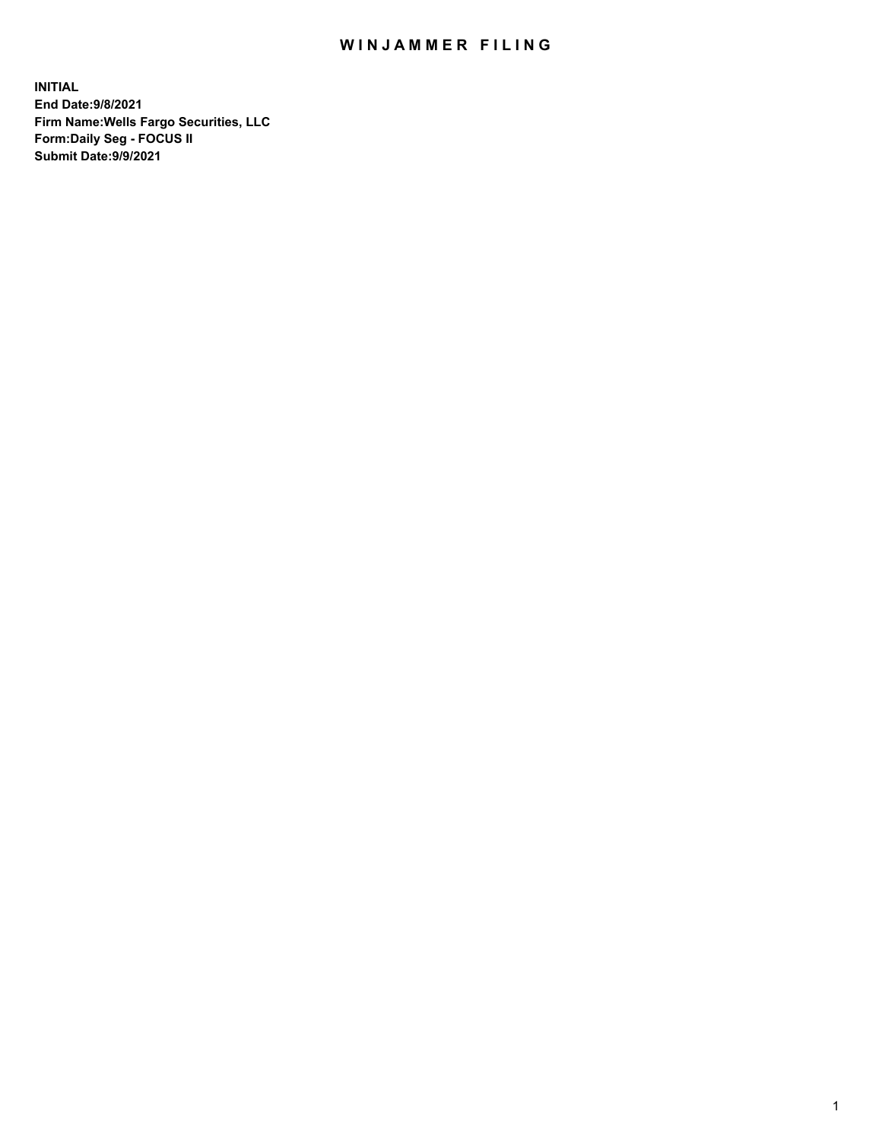## WIN JAMMER FILING

**INITIAL End Date:9/8/2021 Firm Name:Wells Fargo Securities, LLC Form:Daily Seg - FOCUS II Submit Date:9/9/2021**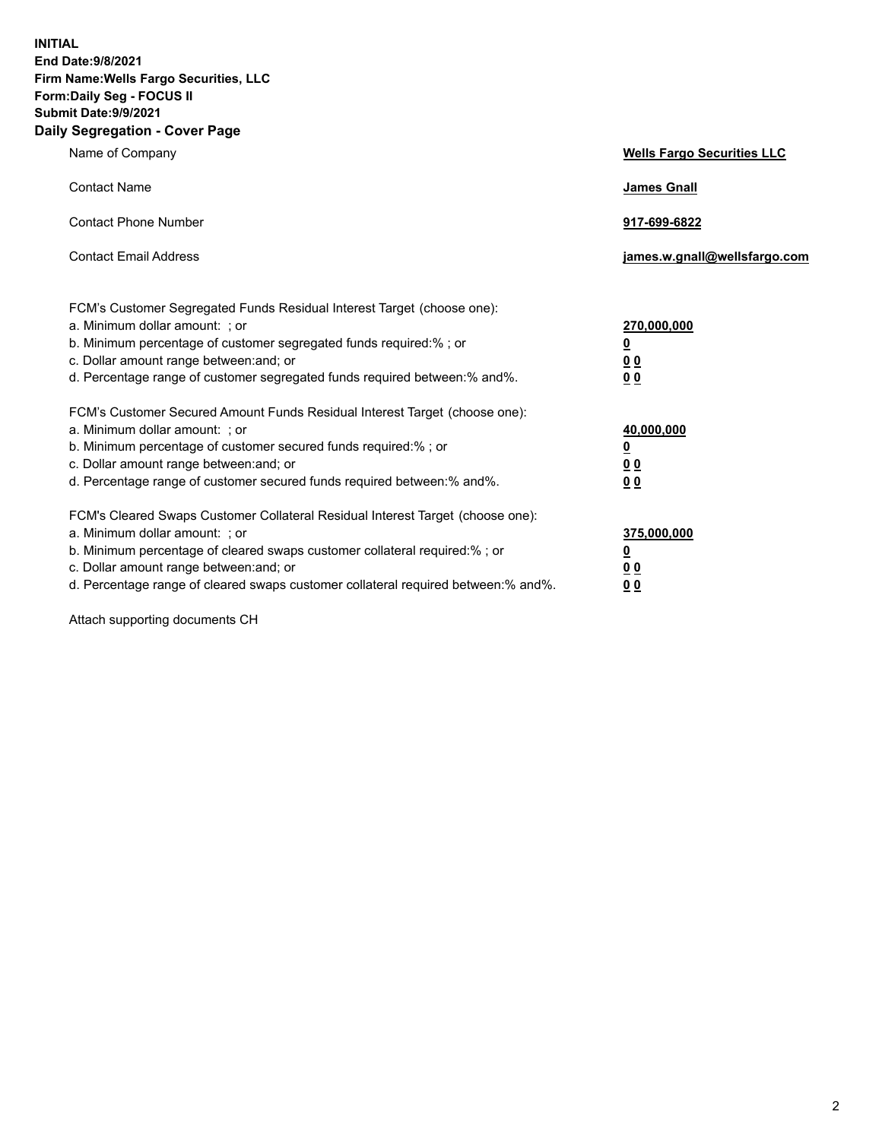**INITIAL End Date:9/8/2021 Firm Name:Wells Fargo Securities, LLC Form:Daily Seg - FOCUS II Submit Date:9/9/2021 Daily Segregation - Cover Page**

| Name of Company                                                                                                                                                                                                                                                                                                               | <b>Wells Fargo Securities LLC</b>                          |
|-------------------------------------------------------------------------------------------------------------------------------------------------------------------------------------------------------------------------------------------------------------------------------------------------------------------------------|------------------------------------------------------------|
| <b>Contact Name</b>                                                                                                                                                                                                                                                                                                           | <b>James Gnall</b>                                         |
| <b>Contact Phone Number</b>                                                                                                                                                                                                                                                                                                   | 917-699-6822                                               |
| <b>Contact Email Address</b>                                                                                                                                                                                                                                                                                                  | james.w.gnall@wellsfargo.com                               |
| FCM's Customer Segregated Funds Residual Interest Target (choose one):<br>a. Minimum dollar amount: ; or<br>b. Minimum percentage of customer segregated funds required:% ; or<br>c. Dollar amount range between: and; or<br>d. Percentage range of customer segregated funds required between:% and%.                        | 270,000,000<br><u>0</u><br>0 <sub>0</sub><br>00            |
| FCM's Customer Secured Amount Funds Residual Interest Target (choose one):<br>a. Minimum dollar amount: ; or<br>b. Minimum percentage of customer secured funds required:%; or<br>c. Dollar amount range between: and; or<br>d. Percentage range of customer secured funds required between: % and %.                         | 40,000,000<br><u>0</u><br>0 <sub>0</sub><br>0 <sub>0</sub> |
| FCM's Cleared Swaps Customer Collateral Residual Interest Target (choose one):<br>a. Minimum dollar amount: ; or<br>b. Minimum percentage of cleared swaps customer collateral required:%; or<br>c. Dollar amount range between: and; or<br>d. Percentage range of cleared swaps customer collateral required between:% and%. | 375,000,000<br><u>0</u><br>00<br>00                        |

Attach supporting documents CH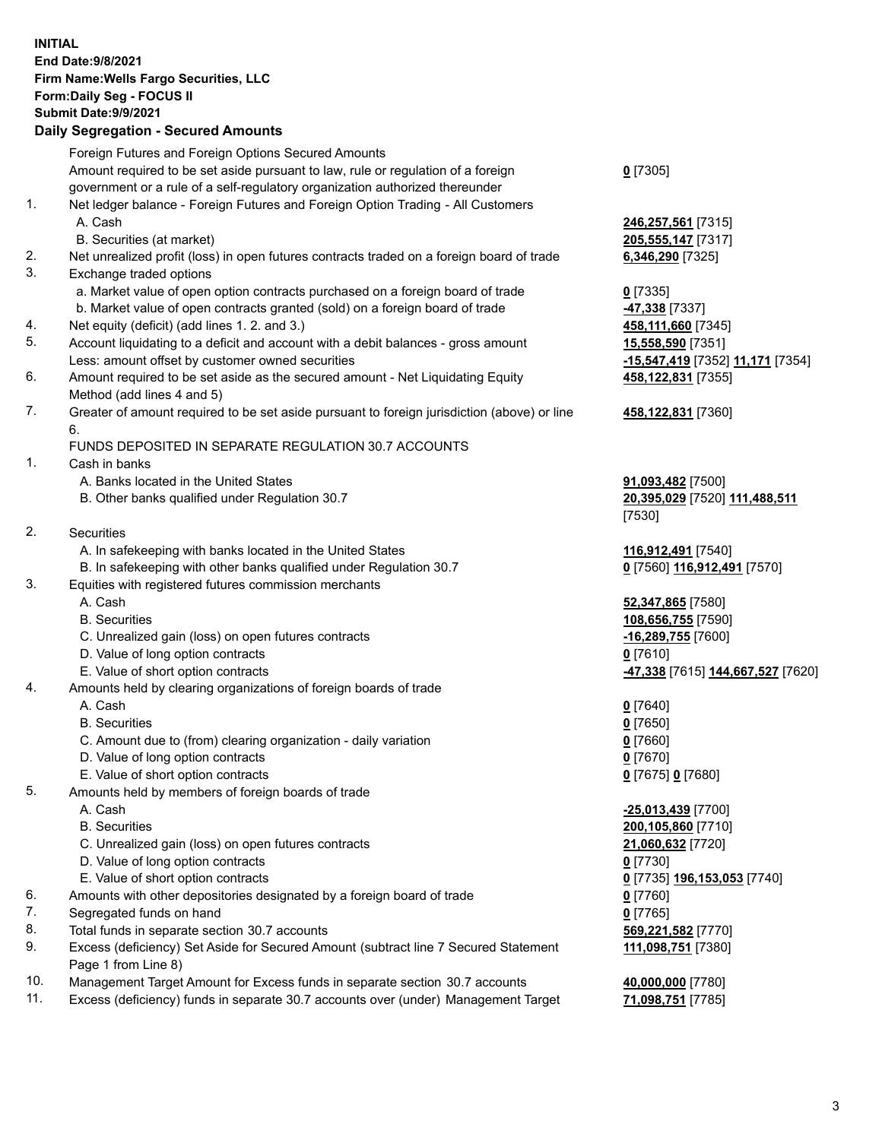**INITIAL End Date:9/8/2021 Firm Name:Wells Fargo Securities, LLC Form:Daily Seg - FOCUS II Submit Date:9/9/2021 Daily Segregation - Secured Amounts** Foreign Futures and Foreign Options Secured Amounts Amount required to be set aside pursuant to law, rule or regulation of a foreign government or a rule of a self-regulatory organization authorized thereunder 1. Net ledger balance - Foreign Futures and Foreign Option Trading - All Customers A. Cash **246,257,561** [7315]

- B. Securities (at market) **205,555,147** [7317]
- 2. Net unrealized profit (loss) in open futures contracts traded on a foreign board of trade **6,346,290** [7325]
- 3. Exchange traded options
	- a. Market value of open option contracts purchased on a foreign board of trade **0** [7335]
	- b. Market value of open contracts granted (sold) on a foreign board of trade **-47,338** [7337]
- 4. Net equity (deficit) (add lines 1. 2. and 3.) **458,111,660** [7345]
- 5. Account liquidating to a deficit and account with a debit balances gross amount **15,558,590** [7351] Less: amount offset by customer owned securities **-15,547,419** [7352] **11,171** [7354]
- 6. Amount required to be set aside as the secured amount Net Liquidating Equity Method (add lines 4 and 5)
- 7. Greater of amount required to be set aside pursuant to foreign jurisdiction (above) or line 6.

## FUNDS DEPOSITED IN SEPARATE REGULATION 30.7 ACCOUNTS

- 1. Cash in banks
	- A. Banks located in the United States **91,093,482** [7500]
	- B. Other banks qualified under Regulation 30.7 **20,395,029** [7520] **111,488,511**
- 2. Securities
	- A. In safekeeping with banks located in the United States **116,912,491** [7540]
- B. In safekeeping with other banks qualified under Regulation 30.7 **0** [7560] **116,912,491** [7570]
- 3. Equities with registered futures commission merchants
	-
	-
	- C. Unrealized gain (loss) on open futures contracts **-16,289,755** [7600]
	- D. Value of long option contracts **0** [7610]
	-
- 4. Amounts held by clearing organizations of foreign boards of trade
	- A. Cash **0** [7640]
	- B. Securities **0** [7650]
	- C. Amount due to (from) clearing organization daily variation **0** [7660]
	- D. Value of long option contracts **0** [7670]
	- E. Value of short option contracts **0** [7675] **0** [7680]
- 5. Amounts held by members of foreign boards of trade
	-
	-
	- C. Unrealized gain (loss) on open futures contracts **21,060,632** [7720]
	- D. Value of long option contracts **0** [7730]
	- E. Value of short option contracts **0** [7735] **196,153,053** [7740]
- 6. Amounts with other depositories designated by a foreign board of trade **0** [7760]
- 7. Segregated funds on hand **0** [7765]
- 8. Total funds in separate section 30.7 accounts **569,221,582** [7770]
- 9. Excess (deficiency) Set Aside for Secured Amount (subtract line 7 Secured Statement Page 1 from Line 8)
- 10. Management Target Amount for Excess funds in separate section 30.7 accounts **40,000,000** [7780]
- 11. Excess (deficiency) funds in separate 30.7 accounts over (under) Management Target **71,098,751** [7785]

**0** [7305]

**458,122,831** [7355]

## **458,122,831** [7360]

[7530]

 A. Cash **52,347,865** [7580] B. Securities **108,656,755** [7590] E. Value of short option contracts **-47,338** [7615] **144,667,527** [7620]

 A. Cash **-25,013,439** [7700] B. Securities **200,105,860** [7710] **111,098,751** [7380]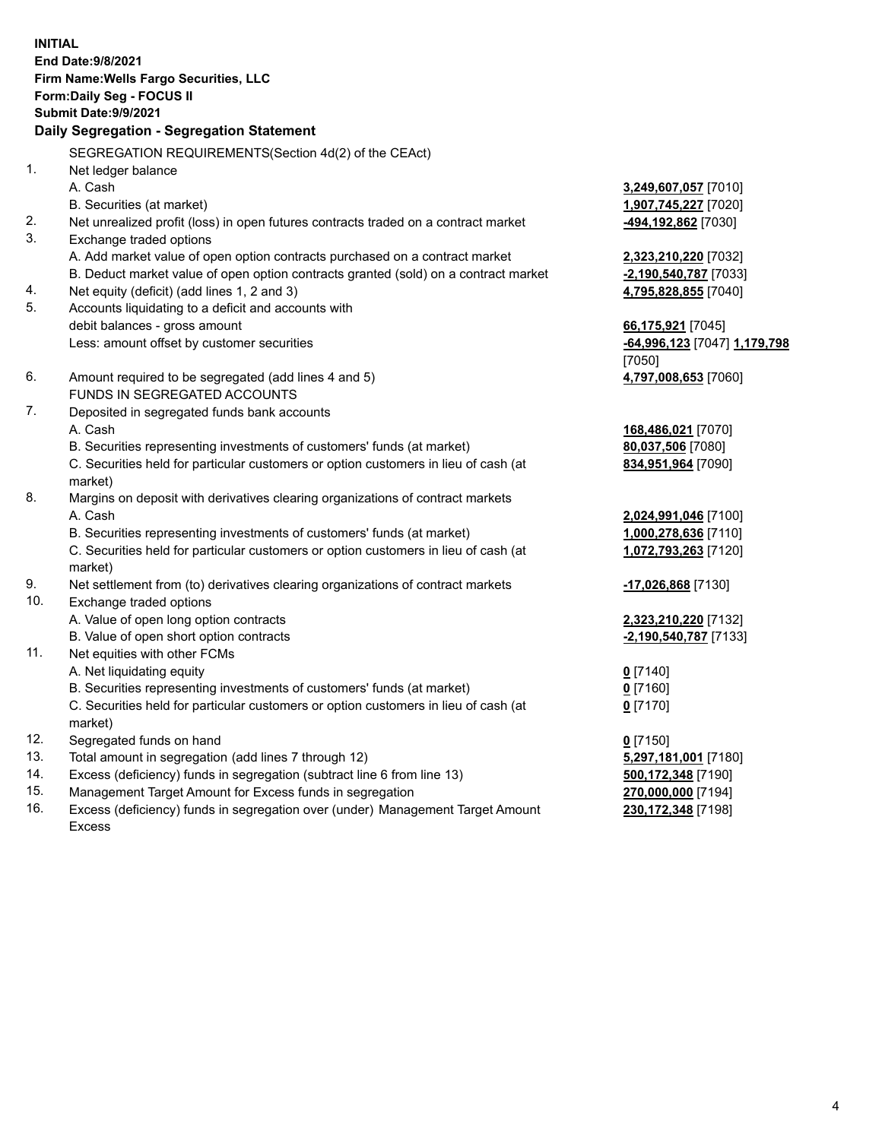**INITIAL End Date:9/8/2021 Firm Name:Wells Fargo Securities, LLC Form:Daily Seg - FOCUS II Submit Date:9/9/2021 Daily Segregation - Segregation Statement** SEGREGATION REQUIREMENTS(Section 4d(2) of the CEAct) 1. Net ledger balance A. Cash **3,249,607,057** [7010] B. Securities (at market) **1,907,745,227** [7020] 2. Net unrealized profit (loss) in open futures contracts traded on a contract market **-494,192,862** [7030] 3. Exchange traded options A. Add market value of open option contracts purchased on a contract market **2,323,210,220** [7032] B. Deduct market value of open option contracts granted (sold) on a contract market **-2,190,540,787** [7033] 4. Net equity (deficit) (add lines 1, 2 and 3) **4,795,828,855** [7040] 5. Accounts liquidating to a deficit and accounts with debit balances - gross amount **66,175,921** [7045] Less: amount offset by customer securities **-64,996,123** [7047] **1,179,798** [7050] 6. Amount required to be segregated (add lines 4 and 5) **4,797,008,653** [7060] FUNDS IN SEGREGATED ACCOUNTS 7. Deposited in segregated funds bank accounts A. Cash **168,486,021** [7070] B. Securities representing investments of customers' funds (at market) **80,037,506** [7080] C. Securities held for particular customers or option customers in lieu of cash (at market) **834,951,964** [7090] 8. Margins on deposit with derivatives clearing organizations of contract markets A. Cash **2,024,991,046** [7100] B. Securities representing investments of customers' funds (at market) **1,000,278,636** [7110] C. Securities held for particular customers or option customers in lieu of cash (at market) **1,072,793,263** [7120] 9. Net settlement from (to) derivatives clearing organizations of contract markets **-17,026,868** [7130] 10. Exchange traded options A. Value of open long option contracts **2,323,210,220** [7132] B. Value of open short option contracts **-2,190,540,787** [7133] 11. Net equities with other FCMs A. Net liquidating equity **0** [7140] B. Securities representing investments of customers' funds (at market) **0** [7160] C. Securities held for particular customers or option customers in lieu of cash (at market) **0** [7170] 12. Segregated funds on hand **0** [7150] 13. Total amount in segregation (add lines 7 through 12) **5,297,181,001** [7180] 14. Excess (deficiency) funds in segregation (subtract line 6 from line 13) **500,172,348** [7190] 15. Management Target Amount for Excess funds in segregation **270,000,000** [7194] **230,172,348** [7198]

16. Excess (deficiency) funds in segregation over (under) Management Target Amount Excess